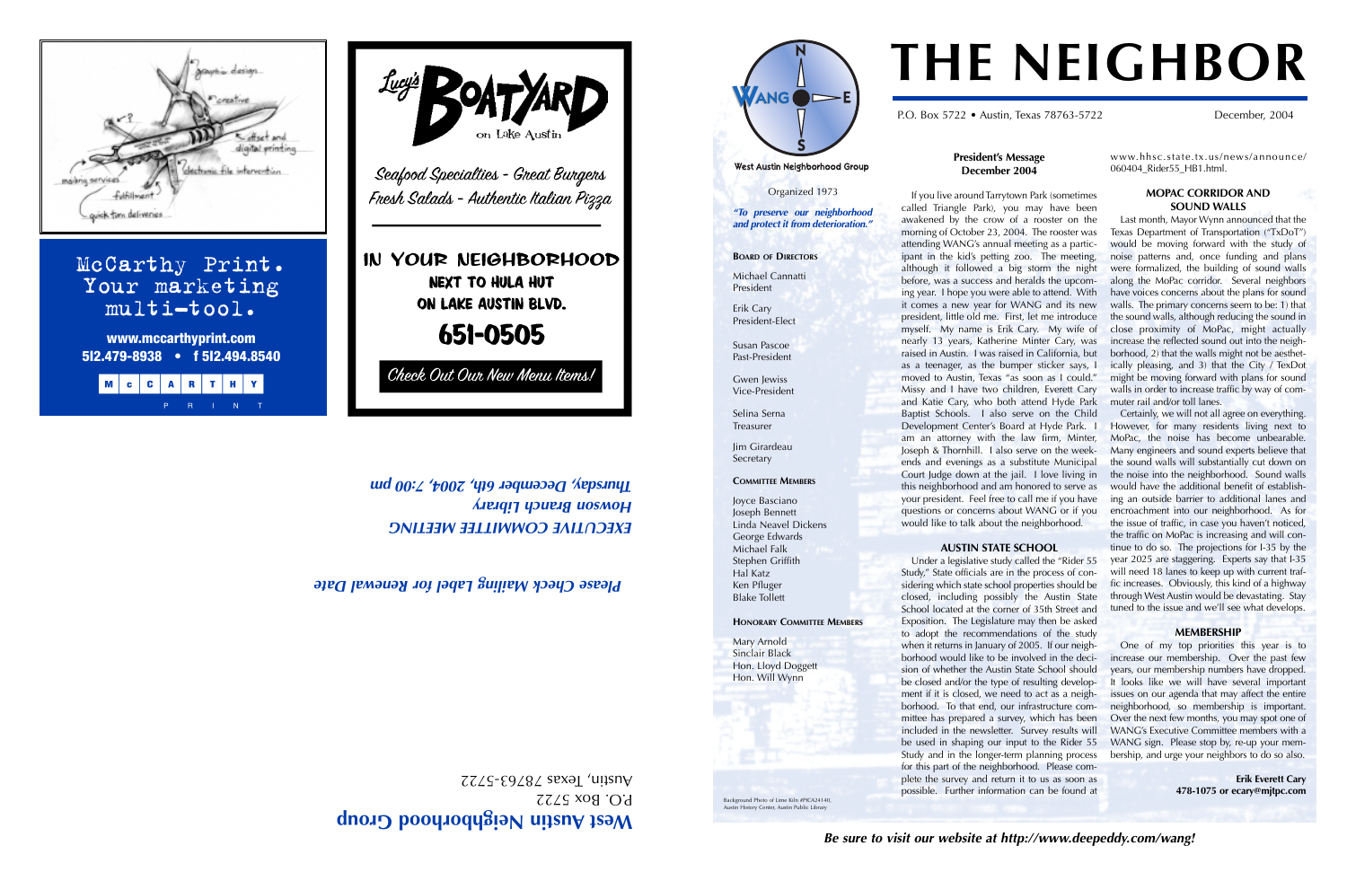

West Austin Neighborhood Croup

**Be sure to visit our website at http://www.deepeddy.com/wang!**

### **President's Message December 2004**

If you live around Tarrytown Park (sometimes called Triangle Park), you may have been awakened by the crow of a rooster on the morning of October 23, 2004. The rooster was attending WANG's annual meeting as a participant in the kid's petting zoo. The meeting, although it followed a big storm the night before, was a success and heralds the upcoming year. I hope you were able to attend. With it comes a new year for WANG and its new president, little old me. First, let me introduce myself. My name is Erik Cary. My wife of nearly 13 years, Katherine Minter Cary, was raised in Austin. I was raised in California, but as a teenager, as the bumper sticker says, I moved to Austin, Texas "as soon as I could." Missy and I have two children, Everett Cary and Katie Cary, who both attend Hyde Park Baptist Schools. I also serve on the Child Development Center's Board at Hyde Park. I am an attorney with the law firm, Minter, Joseph & Thornhill. I also serve on the weekends and evenings as a substitute Municipal Court Judge down at the jail. I love living in this neighborhood and am honored to serve as your president. Feel free to call me if you have questions or concerns about WANG or if you would like to talk about the neighborhood.

### **AUSTIN STATE SCHOOL**

Under a legislative study called the "Rider 55 Study," State officials are in the process of considering which state school properties should be closed, including possibly the Austin State School located at the corner of 35th Street and Exposition. The Legislature may then be asked to adopt the recommendations of the study when it returns in January of 2005. If our neighborhood would like to be involved in the decision of whether the Austin State School should be closed and/or the type of resulting development if it is closed, we need to act as a neighborhood. To that end, our infrastructure committee has prepared a survey, which has been included in the newsletter. Survey results will be used in shaping our input to the Rider 55 Study and in the longer-term planning process for this part of the neighborhood. Please complete the survey and return it to us as soon as possible. Further information can be found at

P.O. Box 5722  $ZZZS - E9Z8Z$  sexal 'unsny

# **Please Check Mailing Label for Renewal Date**

EXEC**UTIVE COMMITTEE MEETING a** *kary* **<b>h** *dispositive Branch* **Thursday, December 6th, 2004, 7:00 pm** 

MCCARTHY

www.hhsc.state.tx.us/news/announce/ 060404\_Rider55\_HB1.html.

### **MOPAC CORRIDOR AND SOUND WALLS**

Last month, Mayor Wynn announced that the Texas Department of Transportation ("TxDoT") would be moving forward with the study of noise patterns and, once funding and plans were formalized, the building of sound walls along the MoPac corridor. Several neighbors have voices concerns about the plans for sound walls. The primary concerns seem to be: 1) that the sound walls, although reducing the sound in close proximity of MoPac, might actually increase the reflected sound out into the neighborhood, 2) that the walls might not be aesthetically pleasing, and 3) that the City / TexDot might be moving forward with plans for sound walls in order to increase traffic by way of commuter rail and/or toll lanes.

Certainly, we will not all agree on everything. However, for many residents living next to MoPac, the noise has become unbearable. Many engineers and sound experts believe that the sound walls will substantially cut down on the noise into the neighborhood. Sound walls would have the additional benefit of establishing an outside barrier to additional lanes and encroachment into our neighborhood. As for the issue of traffic, in case you haven't noticed, the traffic on MoPac is increasing and will continue to do so. The projections for I-35 by the year 2025 are staggering. Experts say that I-35 will need 18 lanes to keep up with current traffic increases. Obviously, this kind of a highway through West Austin would be devastating. Stay tuned to the issue and we'll see what develops.

### **MEMBERSHIP**

One of my top priorities this year is to increase our membership. Over the past few years, our membership numbers have dropped. It looks like we will have several important issues on our agenda that may affect the entire neighborhood, so membership is important. Over the next few months, you may spot one of WANG's Executive Committee members with a WANG sign. Please stop by, re-up your membership, and urge your neighbors to do so also.

> **Erik Everett Cary 478-1075 or ecary@mjtpc.com**

# **THE NEIGHBOR**

P.O. Box 5722 • Austin, Texas 78763-5722 December, 2004

Organized 1973

**"To preserve our neighborhood and protect it from deterioration."**

**BOARD OF DIRECTORS**

Michael Cannatti President

Erik Cary

President-Elect

Susan Pascoe

 $ANG \rightarrow E$ 



Gwen Jewiss Vice-President

Selina Serna

Treasurer

Jim Girardeau

Secretary **COMMITTEE MEMBERS**

Joyce Basciano Joseph Bennett George Edwards

Linda Neavel Dickens Michael Falk Stephen Griffith Hal Katz Ken Pfluger Blake Tollett

**HONORARY COMMITTEE MEMBERS**

Mary Arnold Sinclair Black Hon. Lloyd Doggett Hon. Will Wynn

Background Photo of Lime Kiln #PICA24140, Austin History Center, Austin Public Library



multi-tool.

**www.mccarthyprint.com**

Check Out Our New Menu Items!



West Austin Neighborhood Group